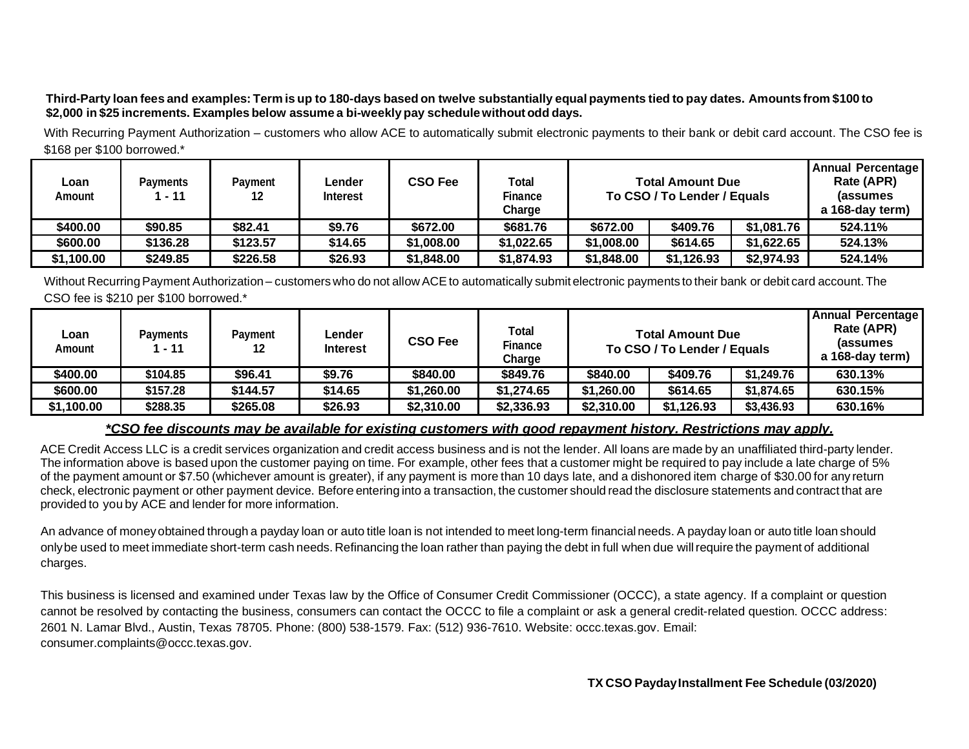## Third-Party loan fees and examples: Term is up to 180-days based on twelve substantially equal payments tied to pay dates. Amounts from \$100 to **\$2,000 in \$25 increments. Examples below assume a bi-weekly pay schedulewithoutodd days.**

With Recurring Payment Authorization – customers who allow ACE to automatically submit electronic payments to their bank or debit card account. The CSO fee is \$168 per \$100 borrowed.\*

| Loan<br>Amount | <b>Payments</b><br>$-11$ | Pavment<br>12 | ∟ender<br><b>Interest</b> | CSO Fee    | <b>Total</b><br><b>Finance</b><br>Charge | <b>Total Amount Due</b><br>To CSO / To Lender / Equals |            |            | Annual Percentage<br>Rate (APR)<br><i>l</i> assumes<br>a 168-day term) |
|----------------|--------------------------|---------------|---------------------------|------------|------------------------------------------|--------------------------------------------------------|------------|------------|------------------------------------------------------------------------|
| \$400.00       | \$90.85                  | \$82.41       | \$9.76                    | \$672.00   | \$681.76                                 | \$672.00                                               | \$409.76   | \$1,081.76 | 524.11%                                                                |
| \$600.00       | \$136.28                 | \$123.57      | \$14.65                   | \$1,008.00 | \$1,022.65                               | \$1,008.00                                             | \$614.65   | \$1,622.65 | 524.13%                                                                |
| \$1,100.00     | \$249.85                 | \$226.58      | \$26.93                   | \$1,848.00 | \$1,874.93                               | \$1,848.00                                             | \$1,126.93 | \$2,974.93 | 524.14%                                                                |

Without Recurring Payment Authorization – customers who do not allow ACE to automatically submit electronic payments to their bank or debit card account. The CSO fee is \$210 per \$100 borrowed.\*

| Loan<br>Amount | <b>Payments</b><br>1 - 11 | <b>Payment</b><br>12 | Lender<br><b>Interest</b> | <b>CSO Fee</b> | Total<br><b>Finance</b> | <b>Total Amount Due</b><br>To CSO / To Lender / Equals |            |            | <b>Annual Percentage</b><br>Rate (APR)<br><i>l</i> assumes<br>a 168-day term) |
|----------------|---------------------------|----------------------|---------------------------|----------------|-------------------------|--------------------------------------------------------|------------|------------|-------------------------------------------------------------------------------|
| \$400.00       | \$104.85                  | \$96.41              | \$9.76                    | \$840.00       | Charge<br>\$849.76      | \$840.00                                               | \$409.76   | \$1,249.76 | 630.13%                                                                       |
| \$600.00       | \$157.28                  | \$144.57             | \$14.65                   | \$1,260.00     | \$1,274.65              | \$1,260.00                                             | \$614.65   | \$1,874.65 | 630.15%                                                                       |
| \$1,100.00     | \$288.35                  | \$265.08             | \$26.93                   | \$2,310.00     | \$2,336.93              | \$2,310.00                                             | \$1,126.93 | \$3,436.93 | 630.16%                                                                       |

## *\*CSO fee discounts may be available for existing customers with good repayment history. Restrictions may apply.*

ACE Credit Access LLC is a credit services organization and credit access business and is not the lender. All loans are made by an unaffiliated third-party lender. The information above is based upon the customer paying on time. For example, other fees that a customer might be required to pay include a late charge of 5% of the payment amount or \$7.50 (whichever amount is greater), if any payment is more than 10 days late, and a dishonored item charge of \$30.00 for any return check, electronic payment or other payment device. Before entering into a transaction, the customer should read the disclosure statements and contract that are provided to you by ACE and lender for more information.

An advance of moneyobtained through a payday loan or auto title loan is not intended to meet long-term financial needs. A payday loan or auto title loan should onlybe used to meet immediate short-term cash needs. Refinancing the loan rather than paying the debt in full when due willrequire the payment of additional charges.

This business is licensed and examined under Texas law by the Office of Consumer Credit Commissioner (OCCC), a state agency. If a complaint or question cannot be resolved by contacting the business, consumers can contact the OCCC to file a complaint or ask a general credit-related question. OCCC address: 2601 N. Lamar Blvd., Austin, Texas 78705. Phone: (800) 538-1579. Fax: (512) 936-7610. Website: occc.texas.gov. Emai[l:](mailto:consumer.complaints@occc.texas.gov) [consumer.complaints@occc.texas.gov.](mailto:consumer.complaints@occc.texas.gov)